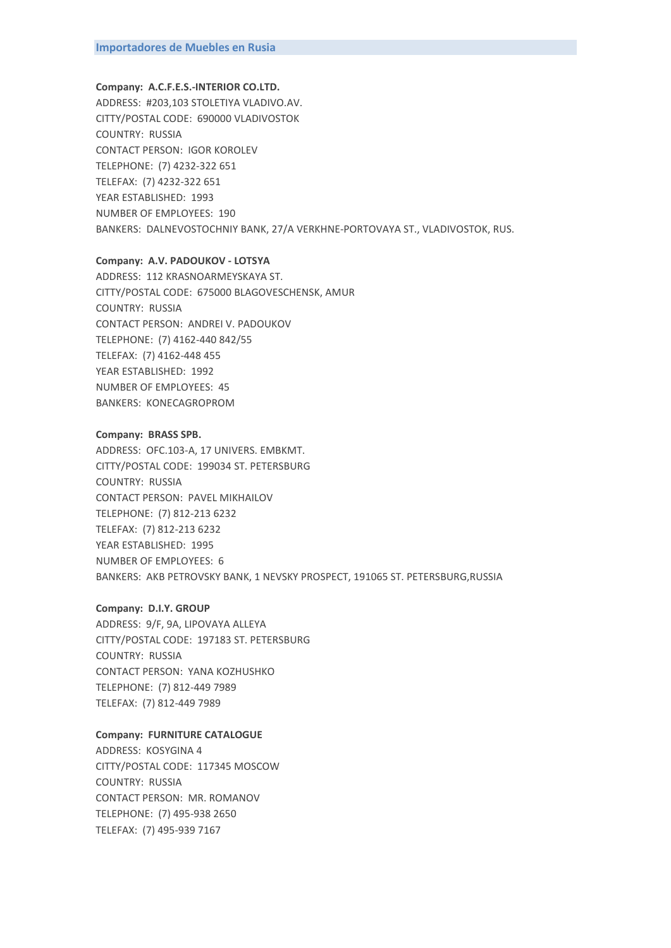### **Company: A.C.F.E.S.-INTERIOR CO.LTD.**

ADDRESS: #203,103 STOLETIYA VLADIVO.AV. CITTY/POSTAL CODE: 690000 VLADIVOSTOK COUNTRY: RUSSIA CONTACT PERSON: IGOR KOROLEV TELEPHONE: (7) 4232-322 651 TELEFAX: (7) 4232-322 651 YEAR ESTABLISHED: 1993 NUMBER OF EMPLOYEES: 190 BANKERS: DALNEVOSTOCHNIY BANK, 27/A VERKHNE-PORTOVAYA ST., VLADIVOSTOK, RUS.

#### **Company: A.V. PADOUKOV - LOTSYA**

ADDRESS: 112 KRASNOARMEYSKAYA ST. CITTY/POSTAL CODE: 675000 BLAGOVESCHENSK, AMUR COUNTRY: RUSSIA CONTACT PERSON: ANDREI V. PADOUKOV TELEPHONE: (7) 4162-440 842/55 TELEFAX: (7) 4162-448 455 YEAR ESTABLISHED: 1992 NUMBER OF EMPLOYEES: 45 BANKERS: KONECAGROPROM

#### **Company: BRASS SPB.**

ADDRESS: OFC.103-A, 17 UNIVERS. EMBKMT. CITTY/POSTAL CODE: 199034 ST. PETERSBURG COUNTRY: RUSSIA CONTACT PERSON: PAVEL MIKHAILOV TELEPHONE: (7) 812-213 6232 TELEFAX: (7) 812-213 6232 YEAR ESTABLISHED: 1995 NUMBER OF EMPLOYEES: 6 BANKERS: AKB PETROVSKY BANK, 1 NEVSKY PROSPECT, 191065 ST. PETERSBURG,RUSSIA

# **Company: D.I.Y. GROUP**

ADDRESS: 9/F, 9A, LIPOVAYA ALLEYA CITTY/POSTAL CODE: 197183 ST. PETERSBURG COUNTRY: RUSSIA CONTACT PERSON: YANA KOZHUSHKO TELEPHONE: (7) 812-449 7989 TELEFAX: (7) 812-449 7989

### **Company: FURNITURE CATALOGUE**

ADDRESS: KOSYGINA 4 CITTY/POSTAL CODE: 117345 MOSCOW COUNTRY: RUSSIA CONTACT PERSON: MR. ROMANOV TELEPHONE: (7) 495-938 2650 TELEFAX: (7) 495-939 7167